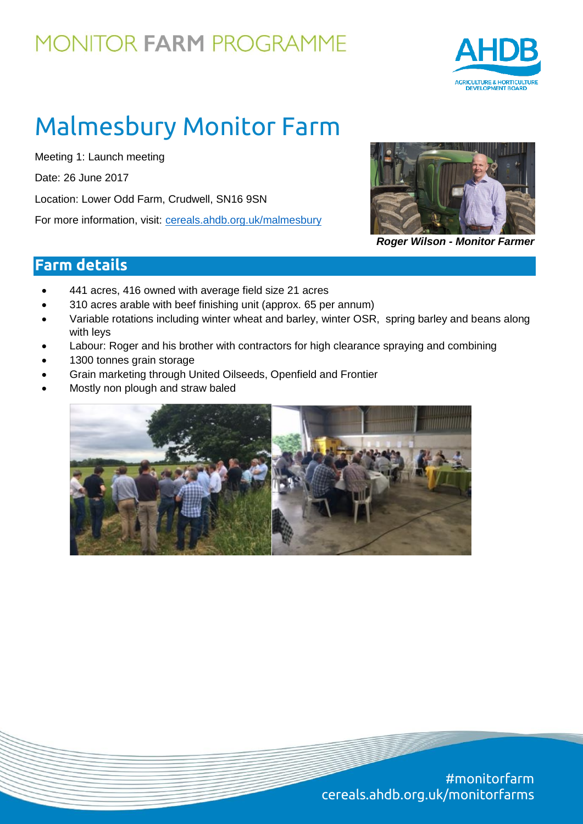

# Malmesbury Monitor Farm

Meeting 1: Launch meeting Date: 26 June 2017 Location: Lower Odd Farm, Crudwell, SN16 9SN For more information, visit: [cereals.ahdb.org.uk/malmesbury](http://cereals.ahdb.org.uk/malmesbury)



*Roger Wilson - Monitor Farmer*

### **Farm details**

- 441 acres, 416 owned with average field size 21 acres
- 310 acres arable with beef finishing unit (approx. 65 per annum)
- Variable rotations including winter wheat and barley, winter OSR, spring barley and beans along with leys
- Labour: Roger and his brother with contractors for high clearance spraying and combining
- 1300 tonnes grain storage
- Grain marketing through United Oilseeds, Openfield and Frontier
- Mostly non plough and straw baled

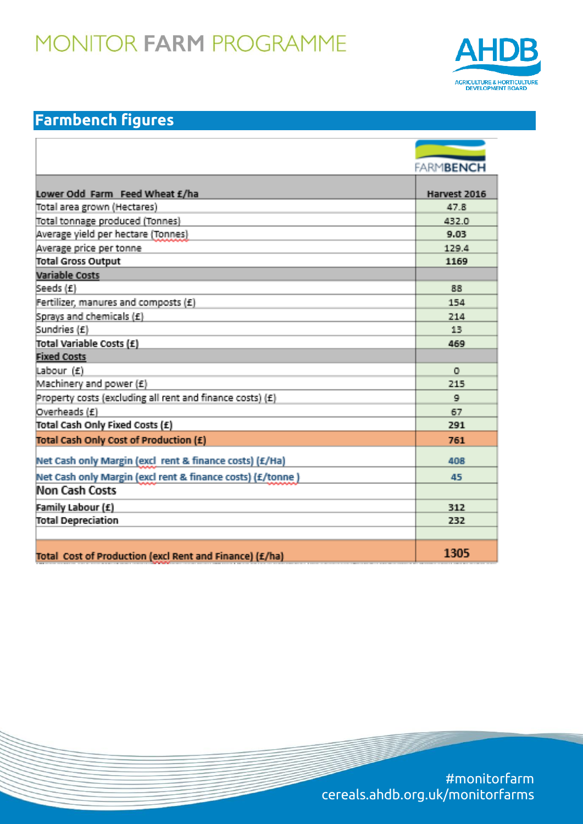

### **Farmbench figures**

|                                                            | <b>FARMBENCH</b>       |
|------------------------------------------------------------|------------------------|
|                                                            |                        |
| Lower Odd Farm Feed Wheat £/ha                             | Harvest 2016           |
| Total area grown (Hectares)                                | 47.8                   |
| Total tonnage produced (Tonnes)                            | 432.0                  |
| Average yield per hectare (Tonnes)                         | 9.03                   |
| Average price per tonne                                    | 1794                   |
| <b>Total Gross Output</b>                                  | 1169                   |
| <b>Variable Costs</b>                                      |                        |
| Seeds (£)                                                  | <b>BB</b>              |
| Fertilizer, manures and composts (£)                       | 154                    |
| Sprays and chemicals (£)                                   | 214                    |
| Sundries (£)                                               | $\mathbb{R}$           |
| Total Variable Costs (£)                                   | 469                    |
| <b>Fixed Costs</b>                                         |                        |
| Labour (£)                                                 | $\Omega$               |
| Machinery and power (£)                                    | 215                    |
| Property costs (excluding all rent and finance costs) (£)  | $\mathbf{Q}_\parallel$ |
| Overheads (£)                                              | 67                     |
| Total Cash Only Fixed Costs (£)                            | 291                    |
| Total Cash Only Cost of Production (£)                     | 761                    |
| Net Cash only Margin (excl rent & finance costs) (£/Ha)    | <b>Ang</b>             |
| Net Cash only Margin (excl rent & finance costs) (£/tonne) | 45                     |
| <b>Non Cash Costs</b>                                      |                        |
| Family Labour (£)                                          | 312                    |
| <b>Total Depreciation</b>                                  | 232                    |
|                                                            |                        |
| Total Cost of Production (excl Rent and Finance) (£/ha)    | 1305                   |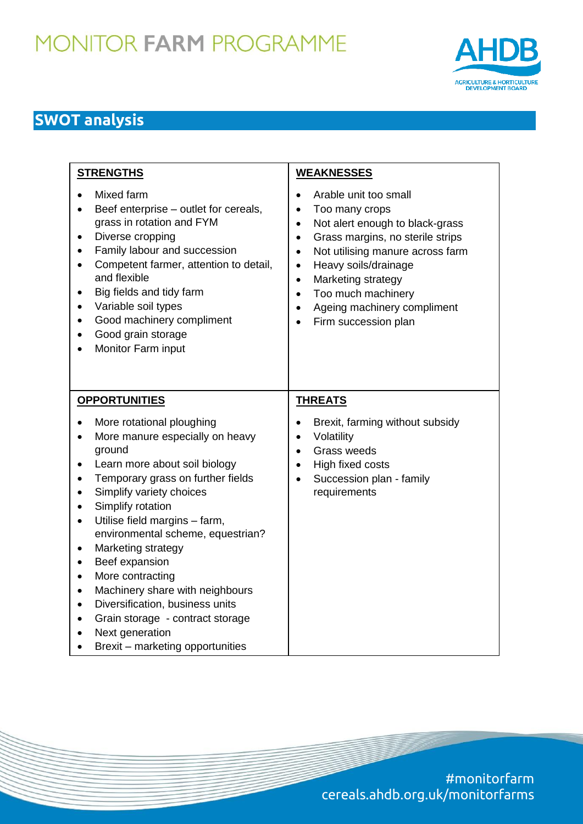

### **SWOT analysis**

| <b>STRENGTHS</b>                                                                                                                                                                                                                                                                                                                                                                                                                                                                                                                                                                                                                                                          | <b>WEAKNESSES</b>                                                                                                                                                                                                                                                                                                                                                        |
|---------------------------------------------------------------------------------------------------------------------------------------------------------------------------------------------------------------------------------------------------------------------------------------------------------------------------------------------------------------------------------------------------------------------------------------------------------------------------------------------------------------------------------------------------------------------------------------------------------------------------------------------------------------------------|--------------------------------------------------------------------------------------------------------------------------------------------------------------------------------------------------------------------------------------------------------------------------------------------------------------------------------------------------------------------------|
| Mixed farm<br>$\bullet$<br>Beef enterprise – outlet for cereals,<br>$\bullet$<br>grass in rotation and FYM<br>Diverse cropping<br>$\bullet$<br>Family labour and succession<br>$\bullet$<br>Competent farmer, attention to detail,<br>and flexible<br>Big fields and tidy farm<br>$\bullet$<br>Variable soil types<br>$\bullet$<br>Good machinery compliment<br>$\bullet$<br>Good grain storage<br>$\bullet$<br>Monitor Farm input                                                                                                                                                                                                                                        | Arable unit too small<br>Too many crops<br>Not alert enough to black-grass<br>$\bullet$<br>Grass margins, no sterile strips<br>$\bullet$<br>Not utilising manure across farm<br>$\bullet$<br>Heavy soils/drainage<br>$\bullet$<br>Marketing strategy<br>$\bullet$<br>Too much machinery<br>$\bullet$<br>Ageing machinery compliment<br>$\bullet$<br>Firm succession plan |
| <b>OPPORTUNITIES</b>                                                                                                                                                                                                                                                                                                                                                                                                                                                                                                                                                                                                                                                      | <b>THREATS</b>                                                                                                                                                                                                                                                                                                                                                           |
| More rotational ploughing<br>More manure especially on heavy<br>$\bullet$<br>ground<br>Learn more about soil biology<br>$\bullet$<br>Temporary grass on further fields<br>$\bullet$<br>Simplify variety choices<br>$\bullet$<br>Simplify rotation<br>$\bullet$<br>Utilise field margins - farm,<br>$\bullet$<br>environmental scheme, equestrian?<br>Marketing strategy<br>$\bullet$<br>Beef expansion<br>$\bullet$<br>More contracting<br>$\bullet$<br>Machinery share with neighbours<br>$\bullet$<br>Diversification, business units<br>$\bullet$<br>Grain storage - contract storage<br>$\bullet$<br>Next generation<br>$\bullet$<br>Brexit - marketing opportunities | Brexit, farming without subsidy<br>Volatility<br>$\bullet$<br>Grass weeds<br>$\bullet$<br>High fixed costs<br>$\bullet$<br>Succession plan - family<br>$\bullet$<br>requirements                                                                                                                                                                                         |